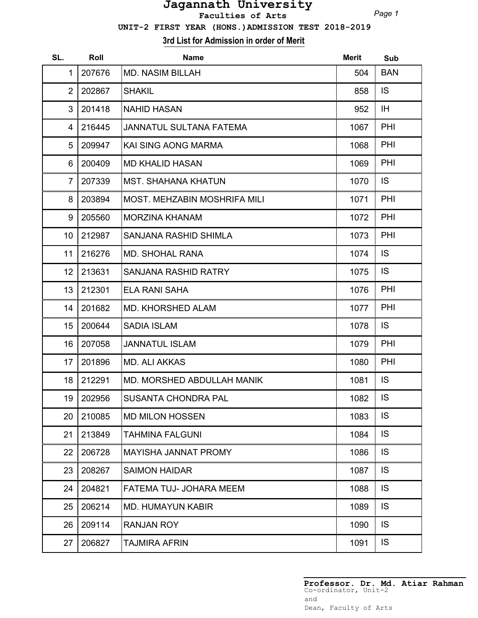## **Jagannath University Faculties of Arts**

*Page 1*

 **UNIT-2 FIRST YEAR (HONS.)ADMISSION TEST 2018-2019**

**3rd List for Admission in order of Merit**

| SL.            | Roll   | <b>Name</b>                         | <b>Merit</b> | Sub        |
|----------------|--------|-------------------------------------|--------------|------------|
| 1              | 207676 | <b>MD. NASIM BILLAH</b>             | 504          | <b>BAN</b> |
| $\overline{2}$ | 202867 | <b>SHAKIL</b>                       | 858          | IS.        |
| 3              | 201418 | <b>NAHID HASAN</b>                  | 952          | IH.        |
| 4              | 216445 | <b>JANNATUL SULTANA FATEMA</b>      | 1067         | PHI        |
| 5              | 209947 | KAI SING AONG MARMA                 | 1068         | PHI        |
| 6              | 200409 | <b>MD KHALID HASAN</b>              | 1069         | PHI        |
| $\overline{7}$ | 207339 | <b>MST. SHAHANA KHATUN</b>          | 1070         | IS.        |
| 8              | 203894 | <b>MOST. MEHZABIN MOSHRIFA MILI</b> | 1071         | PHI        |
| 9              | 205560 | <b>MORZINA KHANAM</b>               | 1072         | <b>PHI</b> |
| 10             | 212987 | SANJANA RASHID SHIMLA               | 1073         | PHI        |
| 11             | 216276 | <b>MD. SHOHAL RANA</b>              | 1074         | IS.        |
| 12             | 213631 | <b>SANJANA RASHID RATRY</b>         | 1075         | IS.        |
| 13             | 212301 | <b>ELA RANI SAHA</b>                | 1076         | PHI        |
| 14             | 201682 | <b>MD. KHORSHED ALAM</b>            | 1077         | PHI        |
| 15             | 200644 | <b>SADIA ISLAM</b>                  | 1078         | IS.        |
| 16             | 207058 | <b>JANNATUL ISLAM</b>               | 1079         | <b>PHI</b> |
| 17             | 201896 | <b>MD. ALI AKKAS</b>                | 1080         | <b>PHI</b> |
| 18             | 212291 | <b>MD. MORSHED ABDULLAH MANIK</b>   | 1081         | IS.        |
| 19             | 202956 | <b>SUSANTA CHONDRA PAL</b>          | 1082         | IS         |
| 20             | 210085 | <b>MD MILON HOSSEN</b>              | 1083         | IS         |
| 21             | 213849 | <b>TAHMINA FALGUNI</b>              | 1084         | IS         |
| 22             | 206728 | MAYISHA JANNAT PROMY                | 1086         | IS         |
| 23             | 208267 | <b>SAIMON HAIDAR</b>                | 1087         | IS         |
| 24             | 204821 | FATEMA TUJ- JOHARA MEEM             | 1088         | IS         |
| 25             | 206214 | <b>MD. HUMAYUN KABIR</b>            | 1089         | IS.        |
| 26             | 209114 | <b>RANJAN ROY</b>                   | 1090         | IS.        |
| 27             | 206827 | <b>TAJMIRA AFRIN</b>                | 1091         | IS.        |

**Professor. Dr. Md. Atiar Rahman** Co-ordinator, Unit-2 and Dean, Faculty of Arts